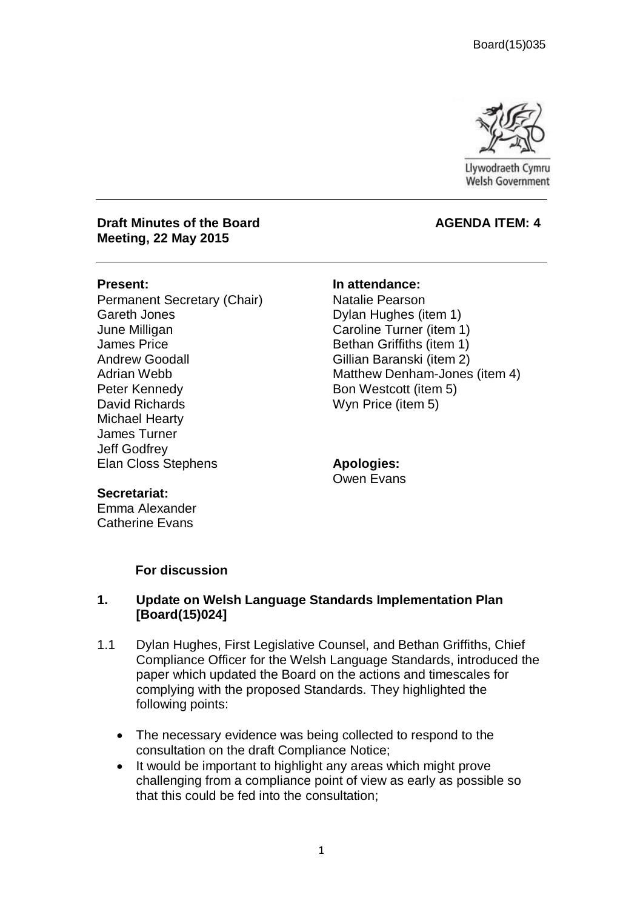

Llywodraeth Cymru **Welsh Government** 

#### **Draft Minutes of the Board Community Community AGENDA ITEM: 4 Meeting, 22 May 2015**

Permanent Secretary (Chair) Gareth Jones June Milligan James Price Andrew Goodall Adrian Webb Peter Kennedy David Richards Michael Hearty James Turner Jeff Godfrey Elan Closs Stephens

**Present: In attendance:**

Natalie Pearson Dylan Hughes (item 1) Caroline Turner (item 1) Bethan Griffiths (item 1) Gillian Baranski (item 2) Matthew Denham-Jones (item 4) Bon Westcott (item 5) Wyn Price (item 5)

**Apologies:** Owen Evans

#### **Secretariat:**

Emma Alexander Catherine Evans

## **For discussion**

## **1. Update on Welsh Language Standards Implementation Plan [Board(15)024]**

- 1.1 Dylan Hughes, First Legislative Counsel, and Bethan Griffiths, Chief Compliance Officer for the Welsh Language Standards, introduced the paper which updated the Board on the actions and timescales for complying with the proposed Standards. They highlighted the following points:
	- The necessary evidence was being collected to respond to the consultation on the draft Compliance Notice;
	- It would be important to highlight any areas which might prove challenging from a compliance point of view as early as possible so that this could be fed into the consultation;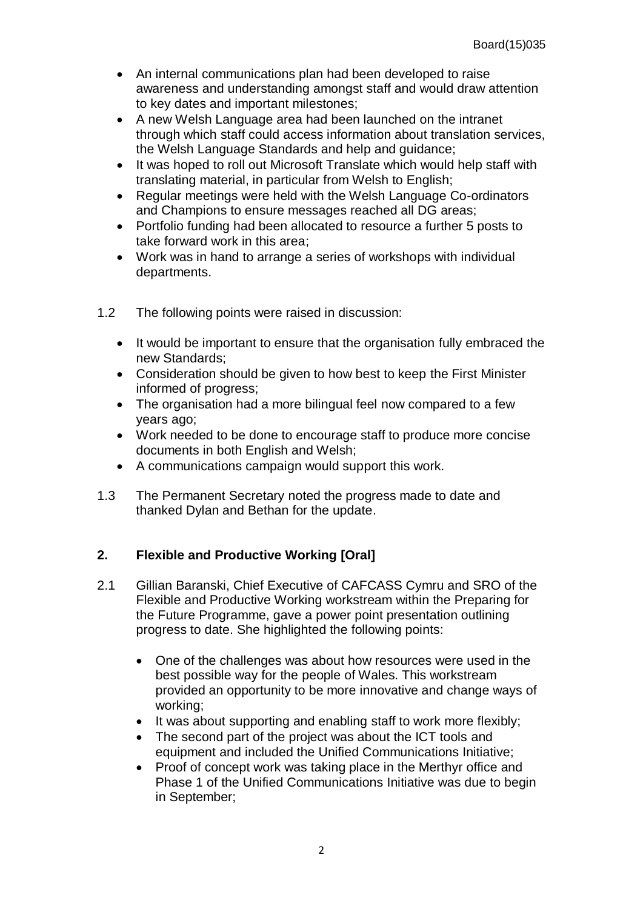- An internal communications plan had been developed to raise awareness and understanding amongst staff and would draw attention to key dates and important milestones;
- A new Welsh Language area had been launched on the intranet through which staff could access information about translation services, the Welsh Language Standards and help and guidance;
- It was hoped to roll out Microsoft Translate which would help staff with translating material, in particular from Welsh to English;
- Regular meetings were held with the Welsh Language Co-ordinators and Champions to ensure messages reached all DG areas;
- Portfolio funding had been allocated to resource a further 5 posts to take forward work in this area;
- Work was in hand to arrange a series of workshops with individual departments.
- 1.2 The following points were raised in discussion:
	- It would be important to ensure that the organisation fully embraced the new Standards;
	- Consideration should be given to how best to keep the First Minister informed of progress;
	- The organisation had a more bilingual feel now compared to a few years ago;
	- Work needed to be done to encourage staff to produce more concise documents in both English and Welsh;
	- A communications campaign would support this work.
- 1.3 The Permanent Secretary noted the progress made to date and thanked Dylan and Bethan for the update.

## **2. Flexible and Productive Working [Oral]**

- 2.1 Gillian Baranski, Chief Executive of CAFCASS Cymru and SRO of the Flexible and Productive Working workstream within the Preparing for the Future Programme, gave a power point presentation outlining progress to date. She highlighted the following points:
	- One of the challenges was about how resources were used in the best possible way for the people of Wales. This workstream provided an opportunity to be more innovative and change ways of working;
	- $\bullet$  It was about supporting and enabling staff to work more flexibly;
	- The second part of the project was about the ICT tools and equipment and included the Unified Communications Initiative;
	- Proof of concept work was taking place in the Merthyr office and Phase 1 of the Unified Communications Initiative was due to begin in September;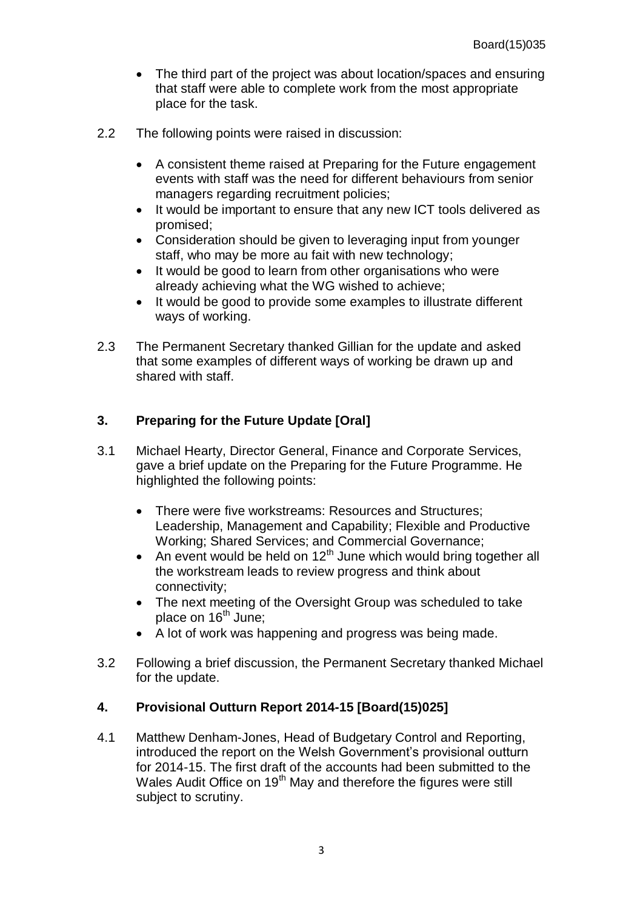- The third part of the project was about location/spaces and ensuring that staff were able to complete work from the most appropriate place for the task.
- 2.2 The following points were raised in discussion:
	- A consistent theme raised at Preparing for the Future engagement events with staff was the need for different behaviours from senior managers regarding recruitment policies;
	- It would be important to ensure that any new ICT tools delivered as promised;
	- Consideration should be given to leveraging input from younger staff, who may be more au fait with new technology;
	- It would be good to learn from other organisations who were already achieving what the WG wished to achieve;
	- It would be good to provide some examples to illustrate different ways of working.
- 2.3 The Permanent Secretary thanked Gillian for the update and asked that some examples of different ways of working be drawn up and shared with staff.

## **3. Preparing for the Future Update [Oral]**

- 3.1 Michael Hearty, Director General, Finance and Corporate Services, gave a brief update on the Preparing for the Future Programme. He highlighted the following points:
	- There were five workstreams: Resources and Structures; Leadership, Management and Capability; Flexible and Productive Working; Shared Services; and Commercial Governance;
	- An event would be held on  $12<sup>th</sup>$  June which would bring together all the workstream leads to review progress and think about connectivity;
	- The next meeting of the Oversight Group was scheduled to take place on  $16<sup>th</sup>$  June;
	- A lot of work was happening and progress was being made.
- 3.2 Following a brief discussion, the Permanent Secretary thanked Michael for the update.

## **4. Provisional Outturn Report 2014-15 [Board(15)025]**

4.1 Matthew Denham-Jones, Head of Budgetary Control and Reporting, introduced the report on the Welsh Government's provisional outturn for 2014-15. The first draft of the accounts had been submitted to the Wales Audit Office on 19<sup>th</sup> May and therefore the figures were still subject to scrutiny.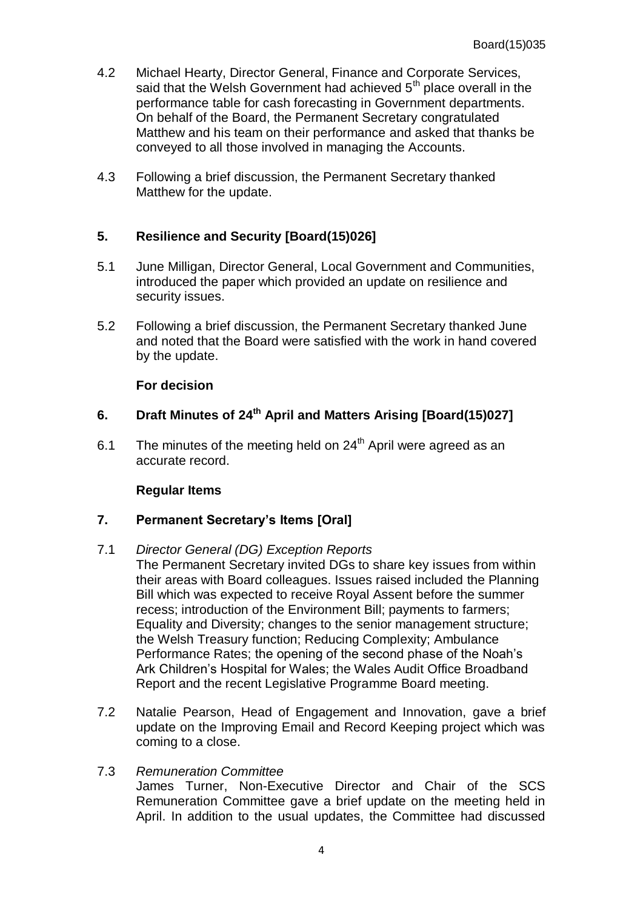- 4.2 Michael Hearty, Director General, Finance and Corporate Services, said that the Welsh Government had achieved 5<sup>th</sup> place overall in the performance table for cash forecasting in Government departments. On behalf of the Board, the Permanent Secretary congratulated Matthew and his team on their performance and asked that thanks be conveyed to all those involved in managing the Accounts.
- 4.3 Following a brief discussion, the Permanent Secretary thanked Matthew for the update.

## **5. Resilience and Security [Board(15)026]**

- 5.1 June Milligan, Director General, Local Government and Communities, introduced the paper which provided an update on resilience and security issues.
- 5.2 Following a brief discussion, the Permanent Secretary thanked June and noted that the Board were satisfied with the work in hand covered by the update.

## **For decision**

# **6. Draft Minutes of 24 th April and Matters Arising [Board(15)027]**

6.1 The minutes of the meeting held on  $24<sup>th</sup>$  April were agreed as an accurate record.

## **Regular Items**

## **7. Permanent Secretary's Items [Oral]**

## 7.1 *Director General (DG) Exception Reports*

- The Permanent Secretary invited DGs to share key issues from within their areas with Board colleagues. Issues raised included the Planning Bill which was expected to receive Royal Assent before the summer recess; introduction of the Environment Bill; payments to farmers; Equality and Diversity; changes to the senior management structure; the Welsh Treasury function; Reducing Complexity; Ambulance Performance Rates; the opening of the second phase of the Noah's Ark Children's Hospital for Wales; the Wales Audit Office Broadband Report and the recent Legislative Programme Board meeting.
- 7.2 Natalie Pearson, Head of Engagement and Innovation, gave a brief update on the Improving Email and Record Keeping project which was coming to a close.
- 7.3 *Remuneration Committee* James Turner, Non-Executive Director and Chair of the SCS Remuneration Committee gave a brief update on the meeting held in April. In addition to the usual updates, the Committee had discussed